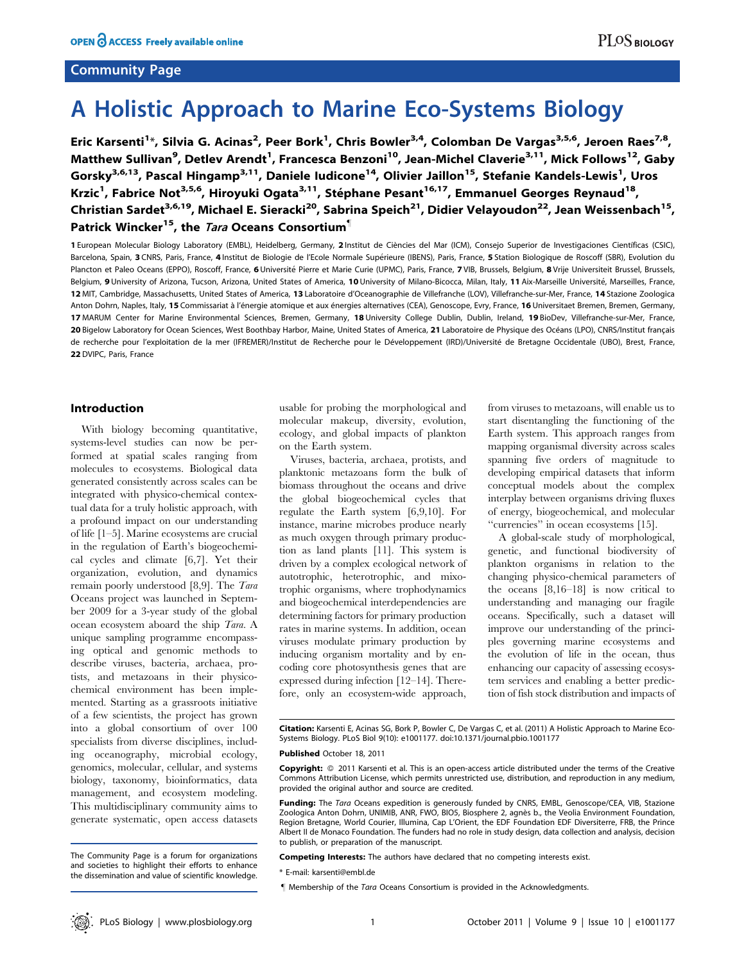## Community Page

# A Holistic Approach to Marine Eco-Systems Biology

Eric Karsenti<sup>1</sup>\*, Silvia G. Acinas<sup>2</sup>, Peer Bork<sup>1</sup>, Chris Bowler<sup>3,4</sup>, Colomban De Vargas<sup>3,5,6</sup>, Jeroen Raes<sup>7,8</sup>, Matthew Sullivan<sup>9</sup>, Detlev Arendt<sup>1</sup>, Francesca Benzoni<sup>10</sup>, Jean-Michel Claverie<sup>3,11</sup>, Mick Follows<sup>12</sup>, Gaby Gorsky<sup>3,6,13</sup>, Pascal Hingamp<sup>3,11</sup>, Daniele Iudicone<sup>14</sup>, Olivier Jaillon<sup>15</sup>, Stefanie Kandels-Lewis<sup>1</sup>, Uros Krzic<sup>1</sup>, Fabrice Not<sup>3,5,6</sup>, Hiroyuki Ogata<sup>3,11</sup>, Stéphane Pesant<sup>16,17</sup>, Emmanuel Georges Reynaud<sup>18</sup>, Christian Sardet<sup>3,6,19</sup>, Michael E. Sieracki<sup>20</sup>, Sabrina Speich<sup>21</sup>, Didier Velayoudon<sup>22</sup>, Jean Weissenbach<sup>15</sup>, Patrick Wincker<sup>15</sup>, the *Tara* Oceans Consortium<sup>1</sup>

1 European Molecular Biology Laboratory (EMBL), Heidelberg, Germany, 2 Institut de Ciències del Mar (ICM), Consejo Superior de Investigaciones Científicas (CSIC), Barcelona, Spain, 3 CNRS, Paris, France, 4 Institut de Biologie de l'Ecole Normale Supérieure (IBENS), Paris, France, 5 Station Biologique de Roscoff (SBR), Evolution du Plancton et Paleo Oceans (EPPO), Roscoff, France, 6 Université Pierre et Marie Curie (UPMC), Paris, France, 7 VIB, Brussels, Belgium, 8 Vrije Universiteit Brussel, Brussels, Brussels, Belgium, 9 University of Arizona, Tucson, Arizona, United States of America, 10 University of Milano-Bicocca, Milan, Italy, 11 Aix-Marseille Université, Marseilles, France, 12 MIT, Cambridge, Massachusetts, United States of America, 13 Laboratoire d'Oceanographie de Villefranche (LOV), Villefranche-sur-Mer, France, 14 Stazione Zoologica Anton Dohrn, Naples, Italy, 15 Commissariat à l'énergie atomique et aux énergies alternatives (CEA), Genoscope, Evry, France, 16 Universitaet Bremen, Bremen, Germany, 17 MARUM Center for Marine Environmental Sciences, Bremen, Germany, 18 University College Dublin, Dublin, Ireland, 19 BioDev, Villefranche-sur-Mer, France, 20 Bigelow Laboratory for Ocean Sciences, West Boothbay Harbor, Maine, United States of America, 21 Laboratoire de Physique des Océans (LPO), CNRS/Institut français de recherche pour l'exploitation de la mer (IFREMER)/Institut de Recherche pour le Développement (IRD)/Université de Bretagne Occidentale (UBO), Brest, France, 22 DVIPC, Paris, France

#### Introduction

With biology becoming quantitative, systems-level studies can now be performed at spatial scales ranging from molecules to ecosystems. Biological data generated consistently across scales can be integrated with physico-chemical contextual data for a truly holistic approach, with a profound impact on our understanding of life [1–5]. Marine ecosystems are crucial in the regulation of Earth's biogeochemical cycles and climate [6,7]. Yet their organization, evolution, and dynamics remain poorly understood [8,9]. The Tara Oceans project was launched in September 2009 for a 3-year study of the global ocean ecosystem aboard the ship Tara. A unique sampling programme encompassing optical and genomic methods to describe viruses, bacteria, archaea, protists, and metazoans in their physicochemical environment has been implemented. Starting as a grassroots initiative of a few scientists, the project has grown into a global consortium of over 100 specialists from diverse disciplines, including oceanography, microbial ecology, genomics, molecular, cellular, and systems biology, taxonomy, bioinformatics, data management, and ecosystem modeling. This multidisciplinary community aims to generate systematic, open access datasets usable for probing the morphological and molecular makeup, diversity, evolution, ecology, and global impacts of plankton on the Earth system.

Viruses, bacteria, archaea, protists, and planktonic metazoans form the bulk of biomass throughout the oceans and drive the global biogeochemical cycles that regulate the Earth system [6,9,10]. For instance, marine microbes produce nearly as much oxygen through primary production as land plants [11]. This system is driven by a complex ecological network of autotrophic, heterotrophic, and mixotrophic organisms, where trophodynamics and biogeochemical interdependencies are determining factors for primary production rates in marine systems. In addition, ocean viruses modulate primary production by inducing organism mortality and by encoding core photosynthesis genes that are expressed during infection [12–14]. Therefore, only an ecosystem-wide approach,

from viruses to metazoans, will enable us to start disentangling the functioning of the Earth system. This approach ranges from mapping organismal diversity across scales spanning five orders of magnitude to developing empirical datasets that inform conceptual models about the complex interplay between organisms driving fluxes of energy, biogeochemical, and molecular ''currencies'' in ocean ecosystems [15].

A global-scale study of morphological, genetic, and functional biodiversity of plankton organisms in relation to the changing physico-chemical parameters of the oceans [8,16–18] is now critical to understanding and managing our fragile oceans. Specifically, such a dataset will improve our understanding of the principles governing marine ecosystems and the evolution of life in the ocean, thus enhancing our capacity of assessing ecosystem services and enabling a better prediction of fish stock distribution and impacts of

#### Published October 18, 2011

The Community Page is a forum for organizations and societies to highlight their efforts to enhance the dissemination and value of scientific knowledge.

Citation: Karsenti E, Acinas SG, Bork P, Bowler C, De Vargas C, et al. (2011) A Holistic Approach to Marine Eco-Systems Biology. PLoS Biol 9(10): e1001177. doi:10.1371/journal.pbio.1001177

Copyright: © 2011 Karsenti et al. This is an open-access article distributed under the terms of the Creative Commons Attribution License, which permits unrestricted use, distribution, and reproduction in any medium, provided the original author and source are credited.

Funding: The Tara Oceans expedition is generously funded by CNRS, EMBL, Genoscope/CEA, VIB, Stazione Zoologica Anton Dohrn, UNIMIB, ANR, FWO, BIO5, Biosphere 2, agnès b., the Veolia Environment Foundation, Region Bretagne, World Courier, Illumina, Cap L'Orient, the EDF Foundation EDF Diversiterre, FRB, the Prince Albert II de Monaco Foundation. The funders had no role in study design, data collection and analysis, decision to publish, or preparation of the manuscript.

Competing Interests: The authors have declared that no competing interests exist.

<sup>\*</sup> E-mail: karsenti@embl.de

<sup>&</sup>quot; Membership of the Tara Oceans Consortium is provided in the Acknowledgments.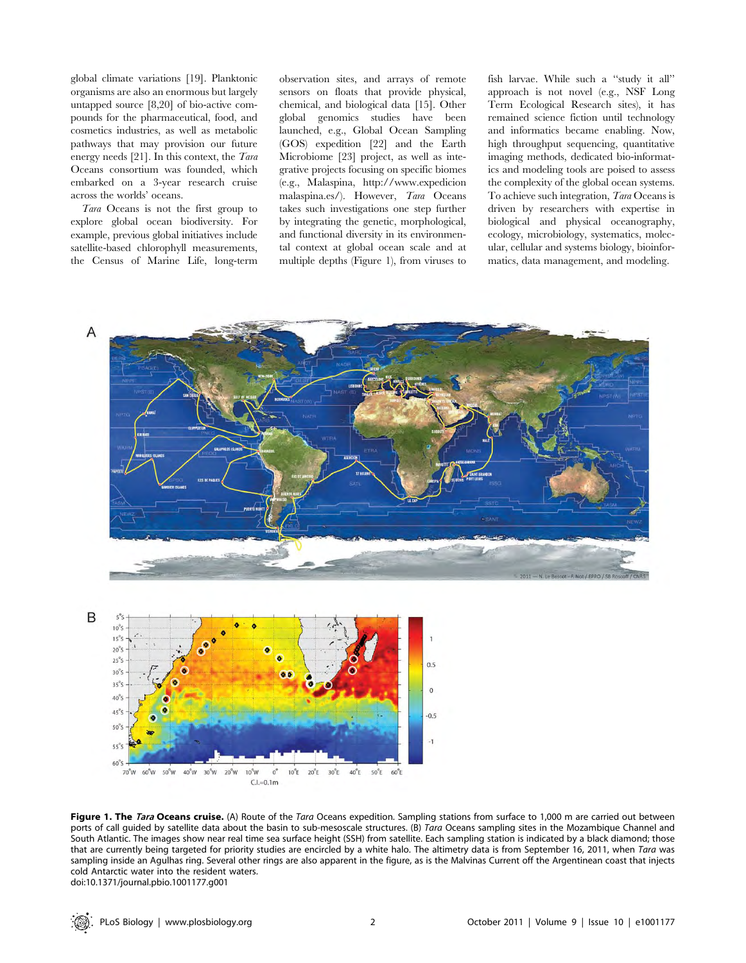global climate variations [19]. Planktonic organisms are also an enormous but largely untapped source [8,20] of bio-active compounds for the pharmaceutical, food, and cosmetics industries, as well as metabolic pathways that may provision our future energy needs [21]. In this context, the Tara Oceans consortium was founded, which embarked on a 3-year research cruise across the worlds' oceans.

Tara Oceans is not the first group to explore global ocean biodiversity. For example, previous global initiatives include satellite-based chlorophyll measurements, the Census of Marine Life, long-term observation sites, and arrays of remote sensors on floats that provide physical, chemical, and biological data [15]. Other global genomics studies have been launched, e.g., Global Ocean Sampling (GOS) expedition [22] and the Earth Microbiome [23] project, as well as integrative projects focusing on specific biomes (e.g., Malaspina, http://www.expedicion malaspina.es/). However, Tara Oceans takes such investigations one step further by integrating the genetic, morphological, and functional diversity in its environmental context at global ocean scale and at multiple depths (Figure 1), from viruses to fish larvae. While such a ''study it all'' approach is not novel (e.g., NSF Long Term Ecological Research sites), it has remained science fiction until technology and informatics became enabling. Now, high throughput sequencing, quantitative imaging methods, dedicated bio-informatics and modeling tools are poised to assess the complexity of the global ocean systems. To achieve such integration, Tara Oceans is driven by researchers with expertise in biological and physical oceanography, ecology, microbiology, systematics, molecular, cellular and systems biology, bioinformatics, data management, and modeling.





Figure 1. The Tara Oceans cruise. (A) Route of the Tara Oceans expedition. Sampling stations from surface to 1,000 m are carried out between ports of call guided by satellite data about the basin to sub-mesoscale structures. (B) Tara Oceans sampling sites in the Mozambique Channel and South Atlantic. The images show near real time sea surface height (SSH) from satellite. Each sampling station is indicated by a black diamond; those that are currently being targeted for priority studies are encircled by a white halo. The altimetry data is from September 16, 2011, when Tara was sampling inside an Agulhas ring. Several other rings are also apparent in the figure, as is the Malvinas Current off the Argentinean coast that injects cold Antarctic water into the resident waters. doi:10.1371/journal.pbio.1001177.g001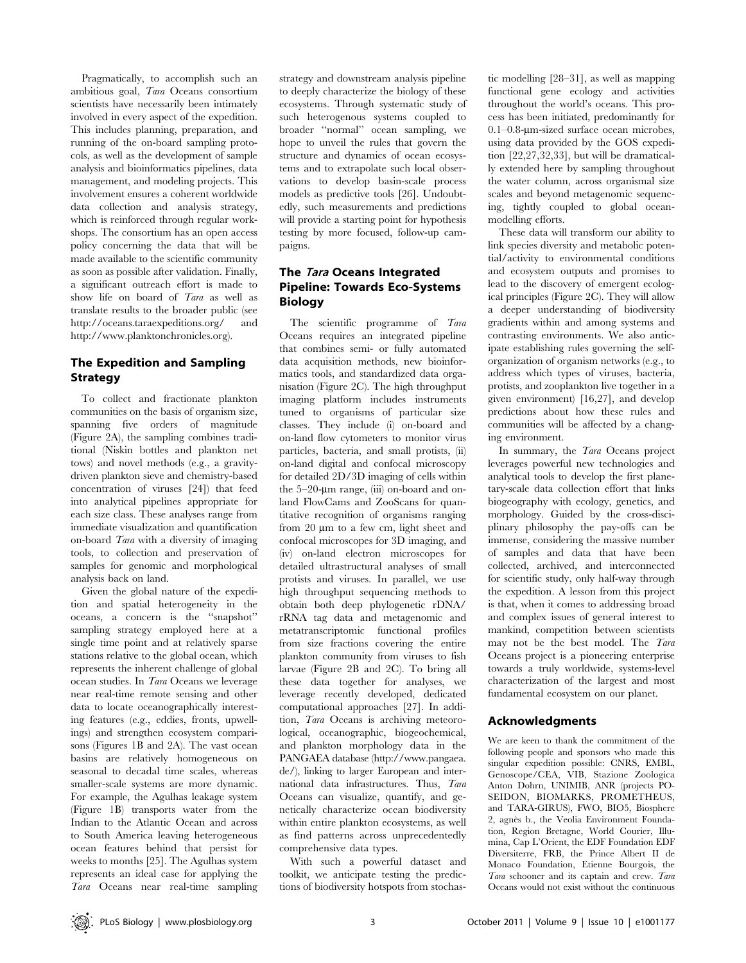Pragmatically, to accomplish such an ambitious goal, Tara Oceans consortium scientists have necessarily been intimately involved in every aspect of the expedition. This includes planning, preparation, and running of the on-board sampling protocols, as well as the development of sample analysis and bioinformatics pipelines, data management, and modeling projects. This involvement ensures a coherent worldwide data collection and analysis strategy, which is reinforced through regular workshops. The consortium has an open access policy concerning the data that will be made available to the scientific community as soon as possible after validation. Finally, a significant outreach effort is made to show life on board of Tara as well as translate results to the broader public (see http://oceans.taraexpeditions.org/ and http://www.planktonchronicles.org).

## The Expedition and Sampling Strategy

To collect and fractionate plankton communities on the basis of organism size, spanning five orders of magnitude (Figure 2A), the sampling combines traditional (Niskin bottles and plankton net tows) and novel methods (e.g., a gravitydriven plankton sieve and chemistry-based concentration of viruses [24]) that feed into analytical pipelines appropriate for each size class. These analyses range from immediate visualization and quantification on-board Tara with a diversity of imaging tools, to collection and preservation of samples for genomic and morphological analysis back on land.

Given the global nature of the expedition and spatial heterogeneity in the oceans, a concern is the ''snapshot'' sampling strategy employed here at a single time point and at relatively sparse stations relative to the global ocean, which represents the inherent challenge of global ocean studies. In Tara Oceans we leverage near real-time remote sensing and other data to locate oceanographically interesting features (e.g., eddies, fronts, upwellings) and strengthen ecosystem comparisons (Figures 1B and 2A). The vast ocean basins are relatively homogeneous on seasonal to decadal time scales, whereas smaller-scale systems are more dynamic. For example, the Agulhas leakage system (Figure 1B) transports water from the Indian to the Atlantic Ocean and across to South America leaving heterogeneous ocean features behind that persist for weeks to months [25]. The Agulhas system represents an ideal case for applying the Tara Oceans near real-time sampling strategy and downstream analysis pipeline to deeply characterize the biology of these ecosystems. Through systematic study of such heterogenous systems coupled to broader ''normal'' ocean sampling, we hope to unveil the rules that govern the structure and dynamics of ocean ecosystems and to extrapolate such local observations to develop basin-scale process models as predictive tools [26]. Undoubtedly, such measurements and predictions will provide a starting point for hypothesis testing by more focused, follow-up campaigns.

# The Tara Oceans Integrated Pipeline: Towards Eco-Systems Biology

The scientific programme of Tara Oceans requires an integrated pipeline that combines semi- or fully automated data acquisition methods, new bioinformatics tools, and standardized data organisation (Figure 2C). The high throughput imaging platform includes instruments tuned to organisms of particular size classes. They include (i) on-board and on-land flow cytometers to monitor virus particles, bacteria, and small protists, (ii) on-land digital and confocal microscopy for detailed 2D/3D imaging of cells within the  $5-20$ -µm range, (iii) on-board and onland FlowCams and ZooScans for quantitative recognition of organisms ranging from  $20 \mu m$  to a few cm, light sheet and confocal microscopes for 3D imaging, and (iv) on-land electron microscopes for detailed ultrastructural analyses of small protists and viruses. In parallel, we use high throughput sequencing methods to obtain both deep phylogenetic rDNA/ rRNA tag data and metagenomic and metatranscriptomic functional profiles from size fractions covering the entire plankton community from viruses to fish larvae (Figure 2B and 2C). To bring all these data together for analyses, we leverage recently developed, dedicated computational approaches [27]. In addition, Tara Oceans is archiving meteorological, oceanographic, biogeochemical, and plankton morphology data in the PANGAEA database (http://www.pangaea. de/), linking to larger European and international data infrastructures. Thus, Tara Oceans can visualize, quantify, and genetically characterize ocean biodiversity within entire plankton ecosystems, as well as find patterns across unprecedentedly comprehensive data types.

With such a powerful dataset and toolkit, we anticipate testing the predictions of biodiversity hotspots from stochastic modelling [28–31], as well as mapping functional gene ecology and activities throughout the world's oceans. This process has been initiated, predominantly for  $0.1-0.8$ -µm-sized surface ocean microbes, using data provided by the GOS expedition [22,27,32,33], but will be dramatically extended here by sampling throughout the water column, across organismal size scales and beyond metagenomic sequencing, tightly coupled to global oceanmodelling efforts.

These data will transform our ability to link species diversity and metabolic potential/activity to environmental conditions and ecosystem outputs and promises to lead to the discovery of emergent ecological principles (Figure 2C). They will allow a deeper understanding of biodiversity gradients within and among systems and contrasting environments. We also anticipate establishing rules governing the selforganization of organism networks (e.g., to address which types of viruses, bacteria, protists, and zooplankton live together in a given environment) [16,27], and develop predictions about how these rules and communities will be affected by a changing environment.

In summary, the Tara Oceans project leverages powerful new technologies and analytical tools to develop the first planetary-scale data collection effort that links biogeography with ecology, genetics, and morphology. Guided by the cross-disciplinary philosophy the pay-offs can be immense, considering the massive number of samples and data that have been collected, archived, and interconnected for scientific study, only half-way through the expedition. A lesson from this project is that, when it comes to addressing broad and complex issues of general interest to mankind, competition between scientists may not be the best model. The Tara Oceans project is a pioneering enterprise towards a truly worldwide, systems-level characterization of the largest and most fundamental ecosystem on our planet.

## Acknowledgments

We are keen to thank the commitment of the following people and sponsors who made this singular expedition possible: CNRS, EMBL, Genoscope/CEA, VIB, Stazione Zoologica Anton Dohrn, UNIMIB, ANR (projects PO-SEIDON, BIOMARKS, PROMETHEUS, and TARA-GIRUS), FWO, BIO5, Biosphere 2, agnès b., the Veolia Environment Foundation, Region Bretagne, World Courier, Illumina, Cap L'Orient, the EDF Foundation EDF Diversiterre, FRB, the Prince Albert II de Monaco Foundation, Etienne Bourgois, the Tara schooner and its captain and crew. Tara Oceans would not exist without the continuous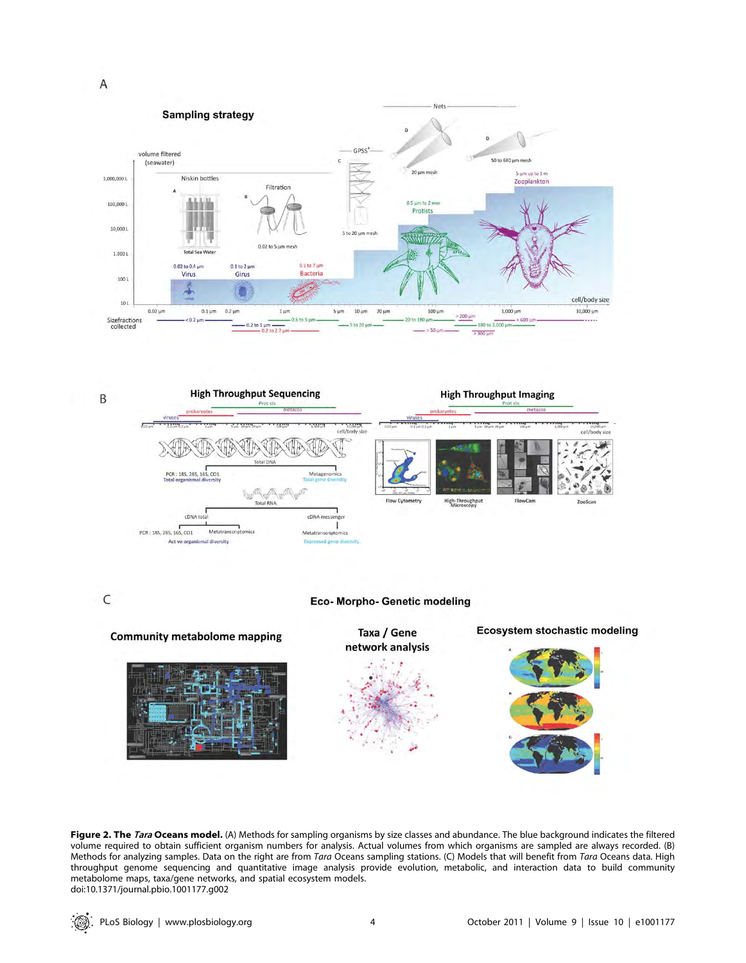



 $\mathsf{C}$ 

### Eco- Morpho- Genetic modeling



Figure 2. The Tara Oceans model. (A) Methods for sampling organisms by size classes and abundance. The blue background indicates the filtered volume required to obtain sufficient organism numbers for analysis. Actual volumes from which organisms are sampled are always recorded. (B) Methods for analyzing samples. Data on the right are from Tara Oceans sampling stations. (C) Models that will benefit from Tara Oceans data. High throughput genome sequencing and quantitative image analysis provide evolution, metabolic, and interaction data to build community metabolome maps, taxa/gene networks, and spatial ecosystem models. doi:10.1371/journal.pbio.1001177.g002